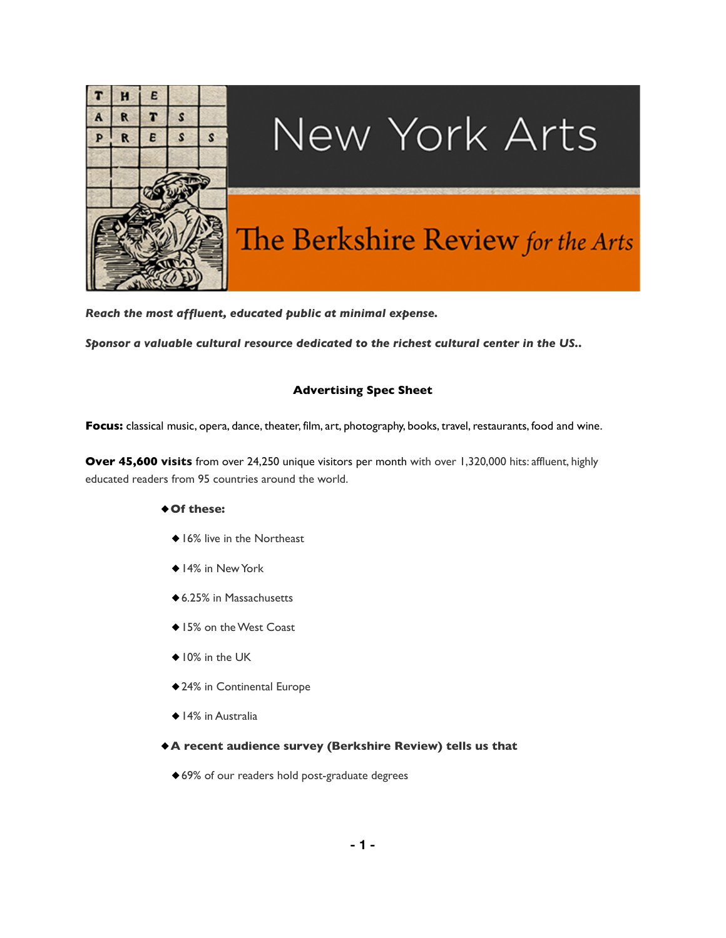

# New York Arts

# The Berkshire Review for the Arts

*Reach the most affluent, educated public at minimal expense.*

*Sponsor a valuable cultural resource dedicated to the richest cultural center in the US..*

## **Advertising Spec Sheet**

**Focus:** classical music, opera, dance, theater, film, art, photography, books, travel, restaurants, food and wine.

**Over 45,600 visits** from over 24,250 unique visitors per month with over 1,320,000 hits: affluent, highly educated readers from 95 countries around the world.

### ◆**Of these:**

- ◆16% live in the Northeast
- ◆14% in New York
- ◆6.25% in Massachusetts
- ◆15% on the West Coast
- ◆10% in the UK
- ◆24% in Continental Europe
- ◆ 14% in Australia
- ◆**A recent audience survey (Berkshire Review) tells us that**
	- ◆ 69% of our readers hold post-graduate degrees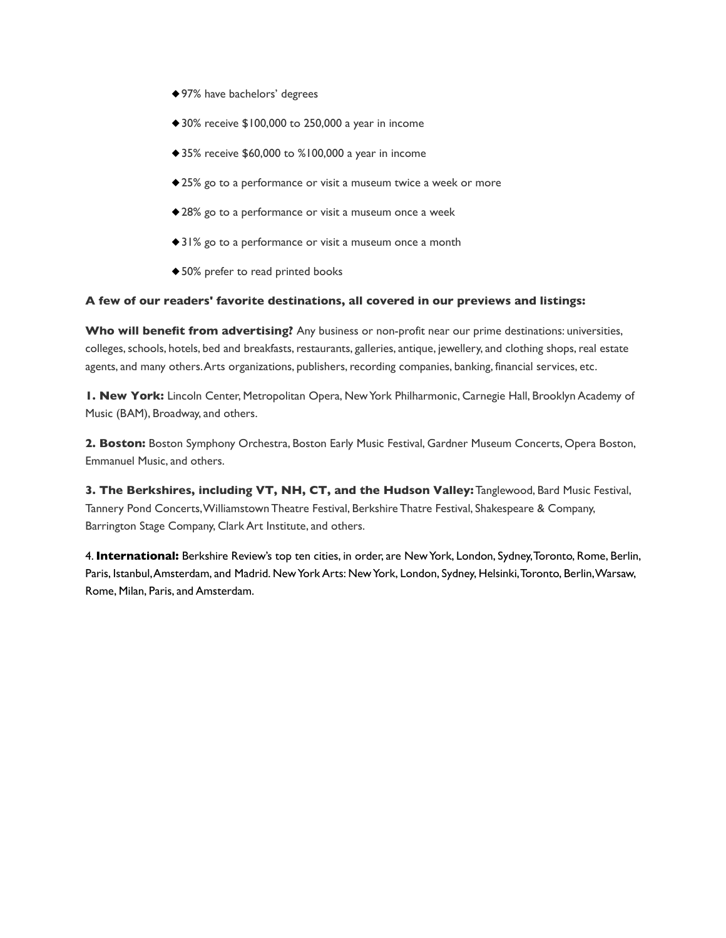- ◆97% have bachelors' degrees
- ◆ 30% receive \$100,000 to 250,000 a year in income
- ◆35% receive \$60,000 to %100,000 a year in income
- ◆25% go to a performance or visit a museum twice a week or more
- ◆28% go to a performance or visit a museum once a week
- ◆31% go to a performance or visit a museum once a month
- ◆50% prefer to read printed books

#### **A few of our readers' favorite destinations, all covered in our previews and listings:**

**Who will benefit from advertising?** Any business or non-profit near our prime destinations: universities, colleges, schools, hotels, bed and breakfasts, restaurants, galleries, antique, jewellery, and clothing shops, real estate agents, and many others. Arts organizations, publishers, recording companies, banking, financial services, etc.

**1. New York:** Lincoln Center, Metropolitan Opera, New York Philharmonic, Carnegie Hall, Brooklyn Academy of Music (BAM), Broadway, and others.

**2. Boston:** Boston Symphony Orchestra, Boston Early Music Festival, Gardner Museum Concerts, Opera Boston, Emmanuel Music, and others.

**3. The Berkshires, including VT, NH, CT, and the Hudson Valley:** Tanglewood, Bard Music Festival, Tannery Pond Concerts, Williamstown Theatre Festival, Berkshire Thatre Festival, Shakespeare & Company, Barrington Stage Company, Clark Art Institute, and others.

4. **International:** Berkshire Review's top ten cities, in order, are New York, London, Sydney, Toronto, Rome, Berlin, Paris, Istanbul, Amsterdam, and Madrid. New York Arts: New York, London, Sydney, Helsinki, Toronto, Berlin, Warsaw, Rome, Milan, Paris, and Amsterdam.